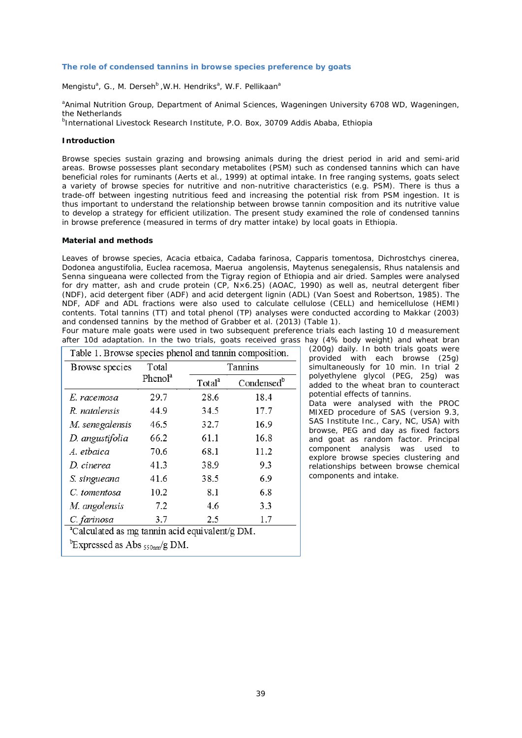## **The role of condensed tannins in browse species preference by goats**

*Mengistu<sup>a</sup>*, G., M. Derseh<sup>b</sup>, W.H. Hendriks<sup>a</sup>, W.F. Pellikaan<sup>a</sup>

*a Animal Nutrition Group, Department of Animal Sciences, Wageningen University 6708 WD, Wageningen, the Netherlands*

*b International Livestock Research Institute, P.O. Box, 30709 Addis Ababa, Ethiopia*

# **Introduction**

Browse species sustain grazing and browsing animals during the driest period in arid and semi-arid areas. Browse possesses plant secondary metabolites (PSM) such as condensed tannins which can have beneficial roles for ruminants (Aerts et al., 1999) at optimal intake. In free ranging systems, goats select a variety of browse species for nutritive and non-nutritive characteristics (e.g. PSM). There is thus a trade-off between ingesting nutritious feed and increasing the potential risk from PSM ingestion. It is thus important to understand the relationship between browse tannin composition and its nutritive value to develop a strategy for efficient utilization. The present study examined the role of condensed tannins in browse preference (measured in terms of dry matter intake) by local goats in Ethiopia.

## **Material and methods**

Leaves of browse species, *Acacia etbaica, Cadaba farinosa, Capparis tomentosa, Dichrostchys cinerea, Dodonea angustifolia, Euclea racemosa, Maerua angolensis, Maytenus senegalensis, Rhus natalensis and Senna singueana* were collected from the Tigray region of Ethiopia and air dried. Samples were analysed for dry matter, ash and crude protein (CP, N×6.25) (AOAC, 1990) as well as, neutral detergent fiber (NDF), acid detergent fiber (ADF) and acid detergent lignin (ADL) (Van Soest and Robertson, 1985). The NDF, ADF and ADL fractions were also used to calculate cellulose (CELL) and hemicellulose (HEMI) contents. Total tannins (TT) and total phenol (TP) analyses were conducted according to Makkar (2003) and condensed tannins by the method of Grabber et al. (2013) (Table 1).

Four mature male goats were used in two subsequent preference trials each lasting 10 d measurement after 10d adaptation. In the two trials, goats received grass hay (4% body weight) and wheat bran

| Browse species                                             | Total<br>Phenol <sup>a</sup> | Tannins            |                        |
|------------------------------------------------------------|------------------------------|--------------------|------------------------|
|                                                            |                              | Total <sup>a</sup> | Condensed <sup>b</sup> |
| E. racemosa                                                | 29.7                         | 28.6               | 18.4                   |
| R. natalensis                                              | 44.9                         | 34.5               | 17.7                   |
| M. senegalensis                                            | 46.5                         | 32.7               | 16.9                   |
| D. angustifolia                                            | 66.2                         | 61.1               | 16.8                   |
| A. etbaica                                                 | 70.6                         | 68.1               | 11.2                   |
| D. cinerea                                                 | 41.3                         | 38.9               | 9.3                    |
| S. singueana                                               | 41.6                         | 38.5               | 6.9                    |
| C. tomentosa                                               | 10.2                         | 8.1                | 6.8                    |
| M. angolensis                                              | 7.2                          | 4.6                | 3.3                    |
| C. farinosa                                                | 3.7                          | 2.5                | 1.7                    |
| <sup>a</sup> Calculated as mg tannin acid equivalent/g DM. |                              |                    |                        |

(200g) daily. In both trials goats were provided with each browse (25g) simultaneously for 10 min. In trial 2 polyethylene glycol (PEG, 25g) was added to the wheat bran to counteract potential effects of tannins.

Data were analysed with the PROC MIXED procedure of SAS (version 9.3, SAS Institute Inc., Cary, NC, USA) with browse, PEG and day as fixed factors and goat as random factor. Principal component analysis was used to explore browse species clustering and relationships between browse chemical components and intake.